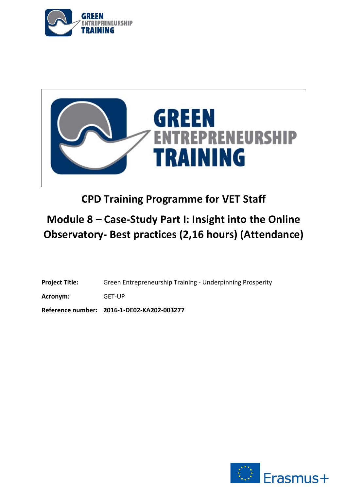



# **CPD Training Programme for VET Staff**

# **Module 8 – Case-Study Part I: Insight into the Online Observatory- Best practices (2,16 hours) (Attendance)**

**Project Title:** Green Entrepreneurship Training - Underpinning Prosperity

**Acronym:** GET-UP

**Reference number: 2016-1-DE02-KA202-003277**

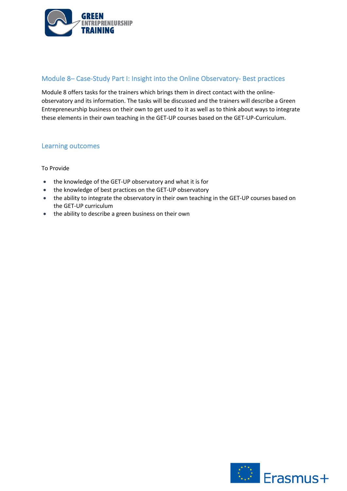

## Module 8– Case-Study Part I: Insight into the Online Observatory- Best practices

Module 8 offers tasks for the trainers which brings them in direct contact with the onlineobservatory and its information. The tasks will be discussed and the trainers will describe a Green Entrepreneurship business on their own to get used to it as well as to think about ways to integrate these elements in their own teaching in the GET-UP courses based on the GET-UP-Curriculum.

## Learning outcomes

### To Provide

- the knowledge of the GET-UP observatory and what it is for
- the knowledge of best practices on the GET-UP observatory
- the ability to integrate the observatory in their own teaching in the GET-UP courses based on the GET-UP curriculum
- the ability to describe a green business on their own

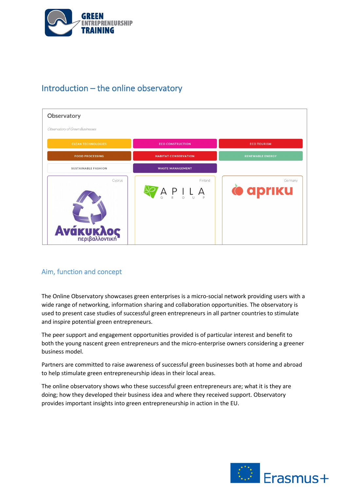

## Introduction – the online observatory

| <b>Observatory</b>              |                                                                                                 |                            |
|---------------------------------|-------------------------------------------------------------------------------------------------|----------------------------|
| Observatory of Green Businesses |                                                                                                 |                            |
| <b>CLEAN TECHNOLOGIES</b>       | <b>ECO CONSTRUCTION</b>                                                                         | <b>ECO TOURISM</b>         |
| <b>FOOD PROCESSING</b>          | <b>HABITAT CONSERVATION</b>                                                                     | <b>RENEWABLE ENERGY</b>    |
| <b>SUSTAINABLE FASHION</b>      | <b>WASTE MANAGEMENT</b>                                                                         |                            |
| Cyprus<br>Avákukhos             | Finland<br>$A \underset{\circ}{\wedge} P \underset{\circ}{\wedge} L \underset{\circ}{\wedge} A$ | Germany<br><b>O</b> apriku |

## Aim, function and concept

The Online Observatory showcases green enterprises is a micro-social network providing users with a wide range of networking, information sharing and collaboration opportunities. The observatory is used to present case studies of successful green entrepreneurs in all partner countries to stimulate and inspire potential green entrepreneurs.

The peer support and engagement opportunities provided is of particular interest and benefit to both the young nascent green entrepreneurs and the micro-enterprise owners considering a greener business model.

Partners are committed to raise awareness of successful green businesses both at home and abroad to help stimulate green entrepreneurship ideas in their local areas.

The online observatory shows who these successful green entrepreneurs are; what it is they are doing; how they developed their business idea and where they received support. Observatory provides important insights into green entrepreneurship in action in the EU.

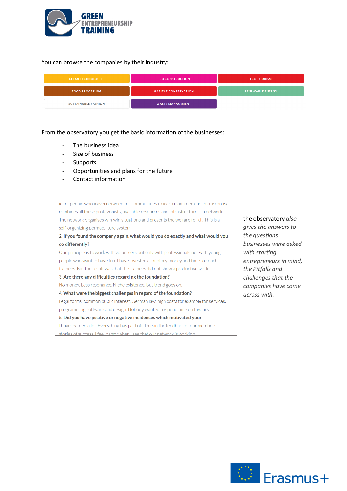

#### You can browse the companies by their industry:



From the observatory you get the basic information of the businesses:

- The business idea
- Size of business
- **Supports**
- Opportunities and plans for the future
- Contact information

Tot or people who travel between the communities to learn from them, as I did. Ecopasa combines all these protagonists, available resources and infrastructure in a network. The network organises win-win situations and presents the welfare for all. This is a self-organizing permaculture system.

2. If you found the company again, what would you do exactly and what would you do differently?

Our principle is to work with volunteers but only with professionals not with young people who want to have fun. I have invested a lot of my money and time to coach trainees. But the result was that the trainees did not show a productive work.

#### 3. Are there any difficulties regarding the foundation?

No money. Less resonance. Niche existence. But trend goes on.

#### 4. What were the biggest challenges in regard of the foundation?

Legal forms, common public interest, German law, high costs for example for services, programming software and design. Nobody wanted to spend time on favours.

#### 5. Did you have positive or negative incidences which motivated you?

I have learned a lot. Everything has paid off. I mean the feedback of our members, stories of success. I feel happy when I see that our network is working.

## the observatory *also*

*gives the answers to the questions businesses were asked with starting entrepreneurs in mind, the Pitfalls and challenges that the companies have come across with.*